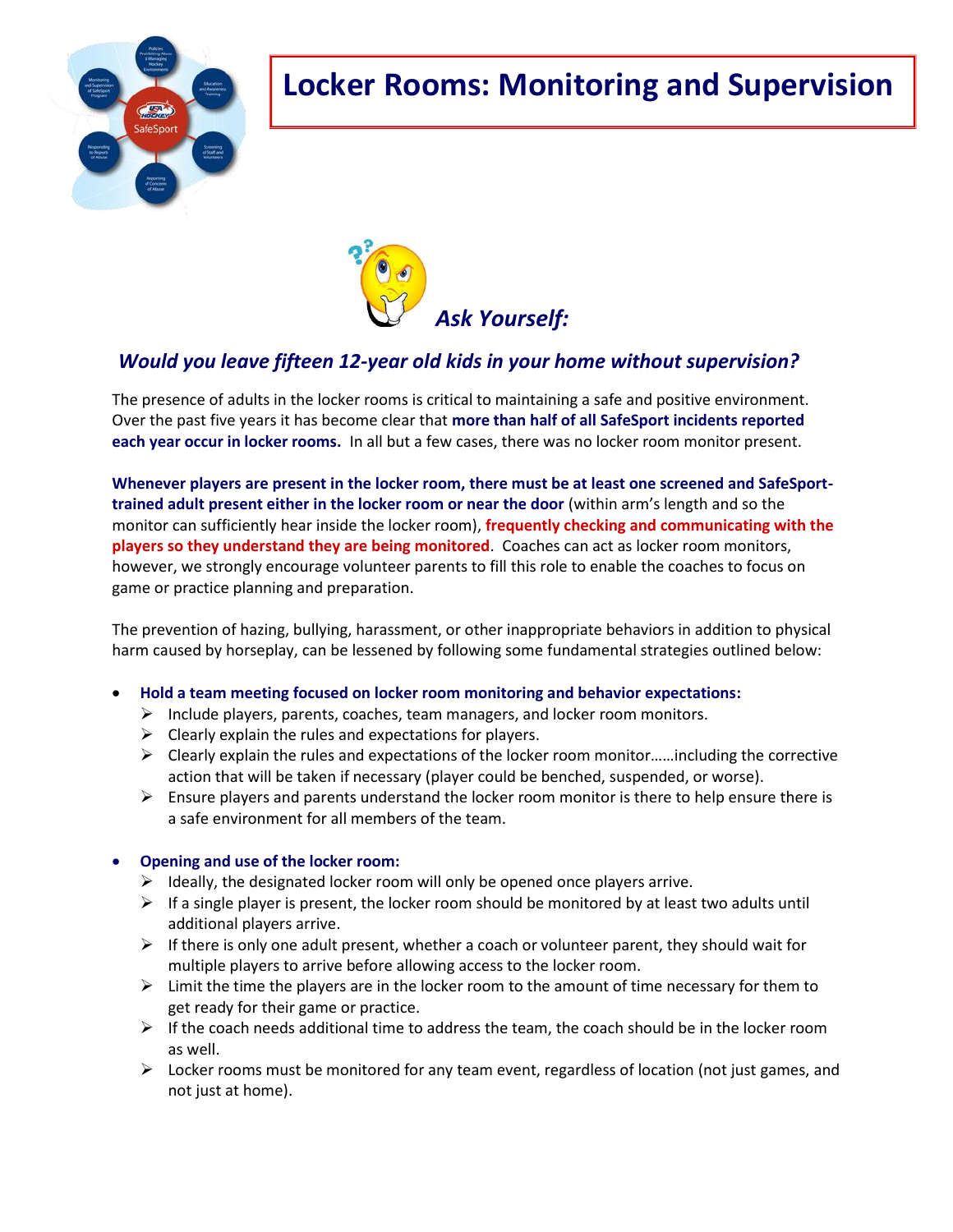

# **Locker Rooms: Monitoring and Supervision**



## *Would you leave fifteen 12-year old kids in your home without supervision?*

The presence of adults in the locker rooms is critical to maintaining a safe and positive environment. Over the past five years it has become clear that **more than half of all SafeSport incidents reported each year occur in locker rooms.** In all but a few cases, there was no locker room monitor present.

**Whenever players are present in the locker room, there must be at least one screened and SafeSporttrained adult present either in the locker room or near the door** (within arm's length and so the monitor can sufficiently hear inside the locker room), **frequently checking and communicating with the players so they understand they are being monitored**. Coaches can act as locker room monitors, however, we strongly encourage volunteer parents to fill this role to enable the coaches to focus on game or practice planning and preparation.

The prevention of hazing, bullying, harassment, or other inappropriate behaviors in addition to physical harm caused by horseplay, can be lessened by following some fundamental strategies outlined below:

- **Hold a team meeting focused on locker room monitoring and behavior expectations:**
	- $\triangleright$  Include players, parents, coaches, team managers, and locker room monitors.
	- $\triangleright$  Clearly explain the rules and expectations for players.
	- $\triangleright$  Clearly explain the rules and expectations of the locker room monitor......including the corrective action that will be taken if necessary (player could be benched, suspended, or worse).
	- $\triangleright$  Ensure players and parents understand the locker room monitor is there to help ensure there is a safe environment for all members of the team.

#### **Opening and use of the locker room:**

- $\triangleright$  Ideally, the designated locker room will only be opened once players arrive.
- $\triangleright$  If a single player is present, the locker room should be monitored by at least two adults until additional players arrive.
- $\triangleright$  If there is only one adult present, whether a coach or volunteer parent, they should wait for multiple players to arrive before allowing access to the locker room.
- $\triangleright$  Limit the time the players are in the locker room to the amount of time necessary for them to get ready for their game or practice.
- $\triangleright$  If the coach needs additional time to address the team, the coach should be in the locker room as well.
- $\triangleright$  Locker rooms must be monitored for any team event, regardless of location (not just games, and not just at home).